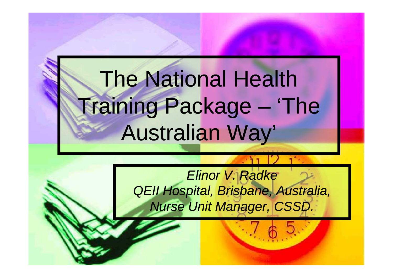# The National Health Training Package – 'The Australian Way'

*Elinor V. Radke QEII Hospital, Brisbane, Australia, Nurse Unit Manager, CSSD.*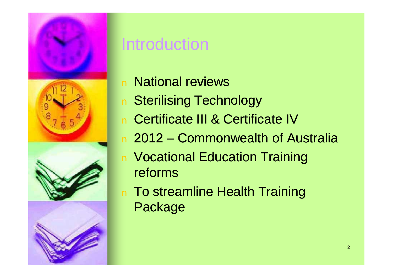

### **Introduction**

- n National reviews
- n Sterilising Technology
- n Certificate III & Certificate IV
- n 2012 Commonwealth of Australia
- n Vocational Education Training reforms
- n To streamline Health Training Package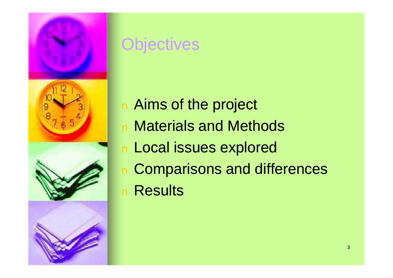

### **Objectives**

- n Aims of the project <sup>n</sup> Materials and Methods <sup>n</sup> Local issues explored <sup>n</sup> Comparisons and differences
- <sup>n</sup> Results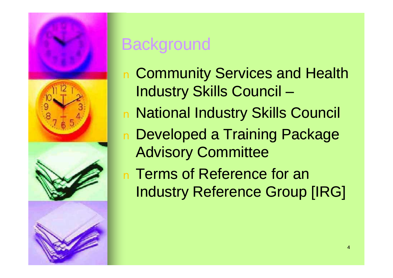

### **Background**

- n Community Services and Health Industry Skills Council –
- <sup>n</sup> National Industry Skills Council
- <sup>n</sup> Developed a Training Package Advisory Committee
- n Terms of Reference for an Industry Reference Group [IRG]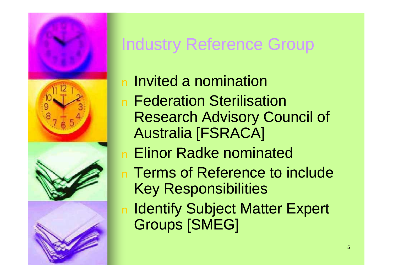

# Industry Reference Group

- <sup>n</sup> Invited a nomination
- n Federation Sterilisation Research Advisory Council of Australia [FSRACA]
- n Elinor Radke nominated
- n Terms of Reference to include Key Responsibilities
- n Identify Subject Matter Expert Groups [SMEG]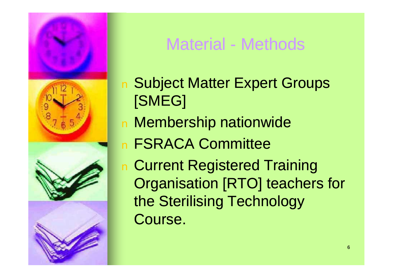

### Material - Methods

- <sup>n</sup> Subject Matter Expert Groups [SMEG]
- <sup>n</sup> Membership nationwide
- <sup>n</sup> FSRACA Committee
- n Current Registered Training Organisation [RTO] teachers for the Sterilising Technology Course.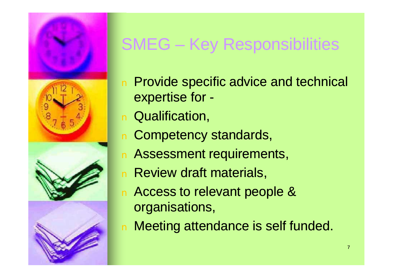

# SMEG – Key Responsibilities

- n Provide specific advice and technical expertise for -
- n Qualification,
- n Competency standards,
- n Assessment requirements,
- n Review draft materials,
- n Access to relevant people & organisations,
- n Meeting attendance is self funded.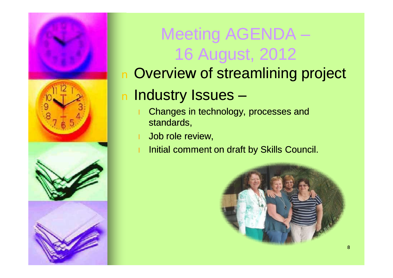

# Meeting AGENDA – 16 August, 2012

### <sup>n</sup> Overview of streamlining project

### <sup>n</sup> Industry Issues –

- Changes in technology, processes and standards,
- Job role review,
- Initial comment on draft by Skills Council.

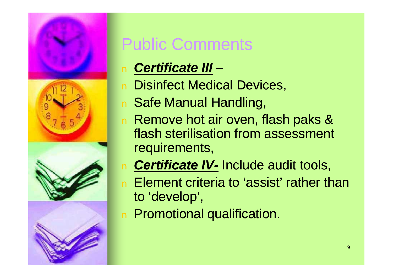

# Public Comments

- n *Certificate III –*
- n Disinfect Medical Devices,
- n Safe Manual Handling,
- n Remove hot air oven, flash paks & flash sterilisation from assessment requirements,
- n *Certificate IV-* Include audit tools,
- n Element criteria to 'assist' rather than to 'develop',
- n Promotional qualification.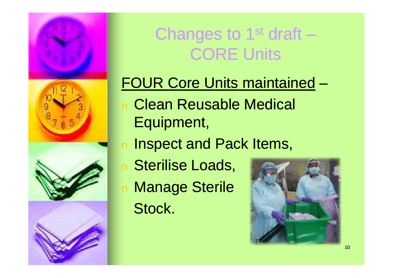

# Changes to 1<sup>st</sup> draft – CORE Units

### FOUR Core Units maintained –

- <sup>n</sup> Clean Reusable Medical Equipment,
- n Inspect and Pack Items,
- <sup>n</sup> Sterilise Loads,
- <sup>n</sup> Manage Sterile Stock.

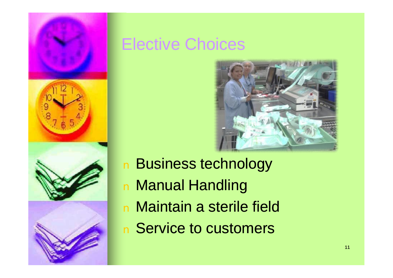

### Elective Choices



- <sup>n</sup> Business technology <sup>n</sup> Manual Handling <sup>n</sup> Maintain a sterile field
- n Service to customers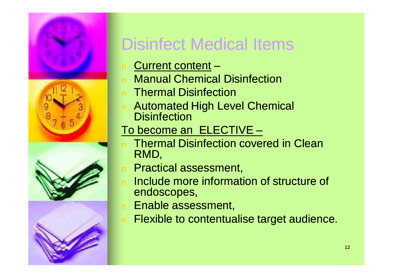

# Disinfect Medical Items

- n Current content –
- **Manual Chemical Disinfection**
- n Thermal Disinfection
- n Automated High Level Chemical **Disinfection**

#### To become an ELECTIVE –

- n Thermal Disinfection covered in Clean RMD,
- n Practical assessment,
- n Include more information of structure of endoscopes,
- n Enable assessment,
- n Flexible to contentualise target audience.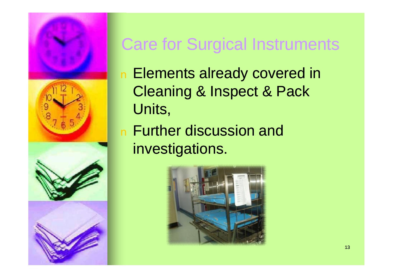

### Care for Surgical Instruments

- n Elements already covered in Cleaning & Inspect & Pack Units,
- n Further discussion and investigations.

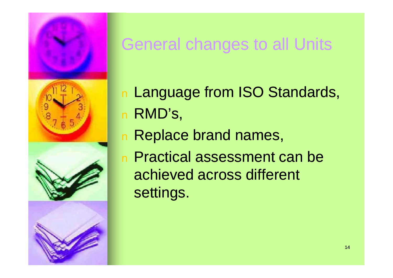

### General changes to all Units

- <sup>n</sup> Language from ISO Standards, <sup>n</sup> RMD's,
- <sup>n</sup> Replace brand names,
- n Practical assessment can be achieved across different settings.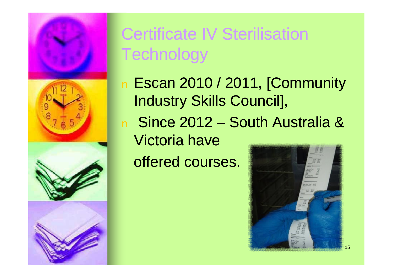

# Certificate IV Sterilisation **Technology**

- n Escan 2010 / 2011, [Community Industry Skills Council],
- <sup>n</sup> Since 2012 South Australia & Victoria have

offered courses.

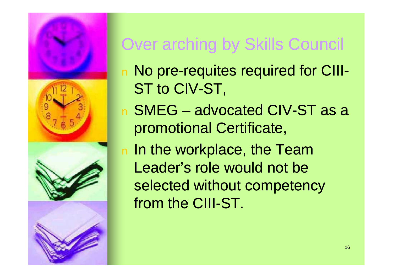

# Over arching by Skills Council

- n No pre-requites required for CIII-ST to CIV-ST,
- <sup>n</sup> SMEG advocated CIV-ST as a promotional Certificate,
- n In the workplace, the Team Leader's role would not be selected without competency from the CIII-ST.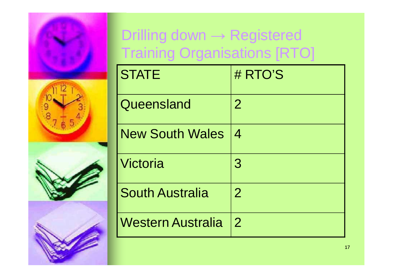

### Drilling down → Registered Training Organisations [RTO]

| <b>STATE</b>             | # RTO'S        |
|--------------------------|----------------|
| Queensland               | $\overline{2}$ |
| <b>New South Wales</b>   | 4              |
| Victoria                 | 3              |
| <b>South Australia</b>   | $\overline{2}$ |
| <b>Western Australia</b> | $\overline{2}$ |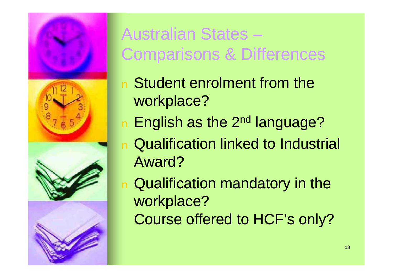

# Australian States – Comparisons & Differences

- n Student enrolment from the workplace?
- n English as the 2<sup>nd</sup> language?
- n Qualification linked to Industrial Award?
- <sup>n</sup> Qualification mandatory in the workplace? Course offered to HCF's only?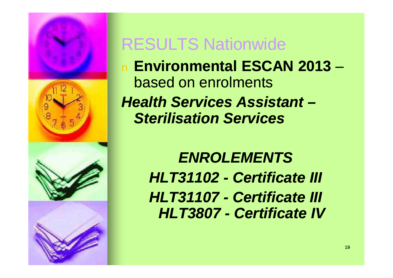

### RESULTS Nationwide

<sup>n</sup> **Environmental ESCAN 2013** – based on enrolments **Health Services Assistant –** *Sterilisation Services*

> *ENROLEMENTS HLT31102 - Certificate III HLT31107 - Certificate III HLT3807 - Certificate IV*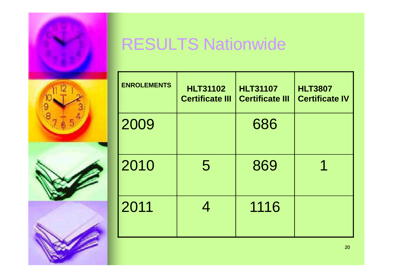

# RESULTS Nationwide

| <b>ENROLEMENTS</b> | <b>HLT31102</b><br><b>Certificate III</b> | <b>HLT31107</b><br><b>Certificate III</b> | <b>HLT3807</b><br><b>Certificate IV</b> |
|--------------------|-------------------------------------------|-------------------------------------------|-----------------------------------------|
| 2009               |                                           | 686                                       |                                         |
| 2010               | 5                                         | 869                                       |                                         |
| 2011               | 4                                         | 1116                                      |                                         |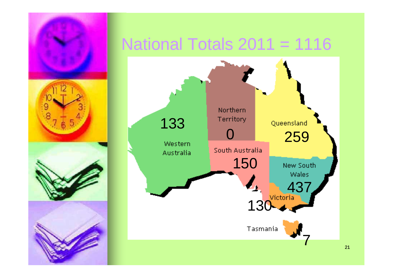

### National Totals  $2011 = 1116$

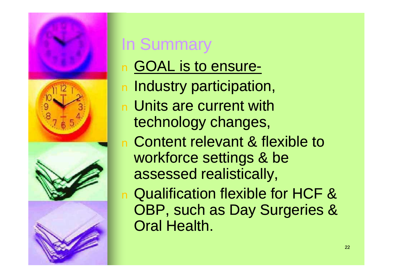

# In Summary

- <sup>n</sup> GOAL is to ensure-
- n Industry participation,
- n Units are current with technology changes,
- <sup>n</sup> Content relevant & flexible to workforce settings & be assessed realistically,
- <sup>n</sup> Qualification flexible for HCF & OBP, such as Day Surgeries & Oral Health.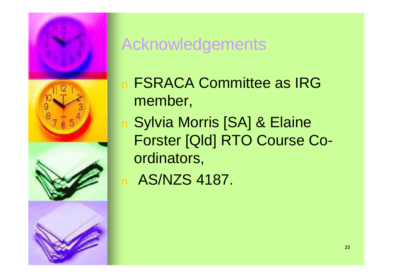

### Acknowledgements

- n FSRACA Committee as IRG member,
- <sup>n</sup> Sylvia Morris [SA] & Elaine Forster [Qld] RTO Course Coordinators,

n AS/NZS 4187.